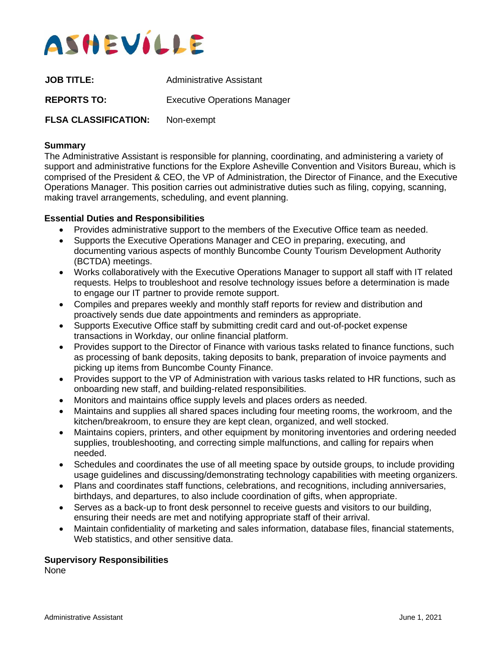

| <b>JOB TITLE:</b>           | Administrative Assistant            |
|-----------------------------|-------------------------------------|
| <b>REPORTS TO:</b>          | <b>Executive Operations Manager</b> |
| <b>FLSA CLASSIFICATION:</b> | Non-exempt                          |

#### **Summary**

The Administrative Assistant is responsible for planning, coordinating, and administering a variety of support and administrative functions for the Explore Asheville Convention and Visitors Bureau, which is comprised of the President & CEO, the VP of Administration, the Director of Finance, and the Executive Operations Manager. This position carries out administrative duties such as filing, copying, scanning, making travel arrangements, scheduling, and event planning.

### **Essential Duties and Responsibilities**

- Provides administrative support to the members of the Executive Office team as needed.
- Supports the Executive Operations Manager and CEO in preparing, executing, and documenting various aspects of monthly Buncombe County Tourism Development Authority (BCTDA) meetings.
- Works collaboratively with the Executive Operations Manager to support all staff with IT related requests. Helps to troubleshoot and resolve technology issues before a determination is made to engage our IT partner to provide remote support.
- Compiles and prepares weekly and monthly staff reports for review and distribution and proactively sends due date appointments and reminders as appropriate.
- Supports Executive Office staff by submitting credit card and out-of-pocket expense transactions in Workday, our online financial platform.
- Provides support to the Director of Finance with various tasks related to finance functions, such as processing of bank deposits, taking deposits to bank, preparation of invoice payments and picking up items from Buncombe County Finance.
- Provides support to the VP of Administration with various tasks related to HR functions, such as onboarding new staff, and building-related responsibilities.
- Monitors and maintains office supply levels and places orders as needed.
- Maintains and supplies all shared spaces including four meeting rooms, the workroom, and the kitchen/breakroom, to ensure they are kept clean, organized, and well stocked.
- Maintains copiers, printers, and other equipment by monitoring inventories and ordering needed supplies, troubleshooting, and correcting simple malfunctions, and calling for repairs when needed.
- Schedules and coordinates the use of all meeting space by outside groups, to include providing usage guidelines and discussing/demonstrating technology capabilities with meeting organizers.
- Plans and coordinates staff functions, celebrations, and recognitions, including anniversaries, birthdays, and departures, to also include coordination of gifts, when appropriate.
- Serves as a back-up to front desk personnel to receive quests and visitors to our building. ensuring their needs are met and notifying appropriate staff of their arrival.
- Maintain confidentiality of marketing and sales information, database files, financial statements, Web statistics, and other sensitive data.

#### **Supervisory Responsibilities**

None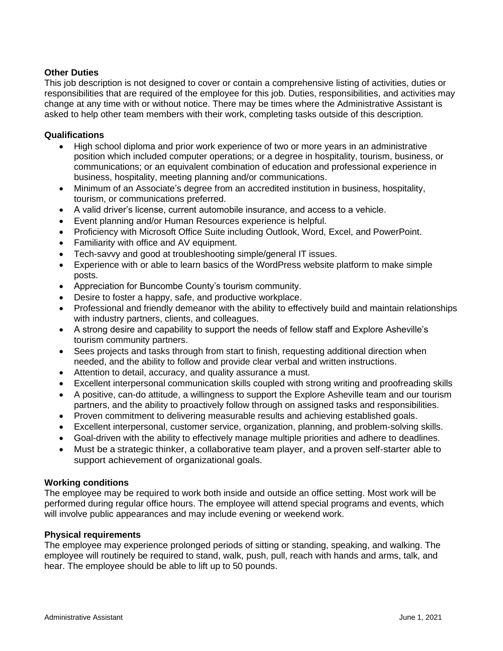# **Other Duties**

This job description is not designed to cover or contain a comprehensive listing of activities, duties or responsibilities that are required of the employee for this job. Duties, responsibilities, and activities may change at any time with or without notice. There may be times where the Administrative Assistant is asked to help other team members with their work, completing tasks outside of this description.

## **Qualifications**

- High school diploma and prior work experience of two or more years in an administrative position which included computer operations; or a degree in hospitality, tourism, business, or communications; or an equivalent combination of education and professional experience in business, hospitality, meeting planning and/or communications.
- Minimum of an Associate's degree from an accredited institution in business, hospitality, tourism, or communications preferred.
- A valid driver's license, current automobile insurance, and access to a vehicle.
- Event planning and/or Human Resources experience is helpful.
- Proficiency with Microsoft Office Suite including Outlook, Word, Excel, and PowerPoint.
- Familiarity with office and AV equipment.
- Tech-savvy and good at troubleshooting simple/general IT issues.
- Experience with or able to learn basics of the WordPress website platform to make simple posts.
- Appreciation for Buncombe County's tourism community.
- Desire to foster a happy, safe, and productive workplace.
- Professional and friendly demeanor with the ability to effectively build and maintain relationships with industry partners, clients, and colleagues.
- A strong desire and capability to support the needs of fellow staff and Explore Asheville's tourism community partners.
- Sees projects and tasks through from start to finish, requesting additional direction when needed, and the ability to follow and provide clear verbal and written instructions.
- Attention to detail, accuracy, and quality assurance a must.
- Excellent interpersonal communication skills coupled with strong writing and proofreading skills
- A positive, can-do attitude, a willingness to support the Explore Asheville team and our tourism partners, and the ability to proactively follow through on assigned tasks and responsibilities.
- Proven commitment to delivering measurable results and achieving established goals.
- Excellent interpersonal, customer service, organization, planning, and problem-solving skills.
- Goal-driven with the ability to effectively manage multiple priorities and adhere to deadlines.
- Must be a strategic thinker, a collaborative team player, and a proven self-starter able to support achievement of organizational goals.

### **Working conditions**

The employee may be required to work both inside and outside an office setting. Most work will be performed during regular office hours. The employee will attend special programs and events, which will involve public appearances and may include evening or weekend work.

### **Physical requirements**

The employee may experience prolonged periods of sitting or standing, speaking, and walking. The employee will routinely be required to stand, walk, push, pull, reach with hands and arms, talk, and hear. The employee should be able to lift up to 50 pounds.